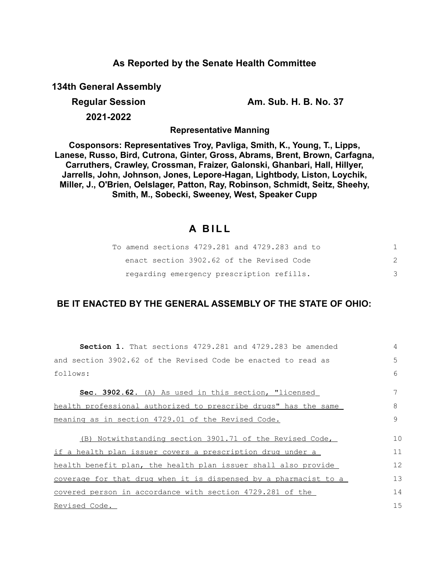## **As Reported by the Senate Health Committee**

**134th General Assembly**

**Regular Session Am. Sub. H. B. No. 37**

**2021-2022**

**Representative Manning**

**Cosponsors: Representatives Troy, Pavliga, Smith, K., Young, T., Lipps, Lanese, Russo, Bird, Cutrona, Ginter, Gross, Abrams, Brent, Brown, Carfagna, Carruthers, Crawley, Crossman, Fraizer, Galonski, Ghanbari, Hall, Hillyer, Jarrells, John, Johnson, Jones, Lepore-Hagan, Lightbody, Liston, Loychik, Miller, J., O'Brien, Oelslager, Patton, Ray, Robinson, Schmidt, Seitz, Sheehy, Smith, M., Sobecki, Sweeney, West, Speaker Cupp**

# **A B I L L**

| To amend sections 4729.281 and 4729.283 and to |  |
|------------------------------------------------|--|
| enact section 3902.62 of the Revised Code      |  |
| regarding emergency prescription refills.      |  |

## **BE IT ENACTED BY THE GENERAL ASSEMBLY OF THE STATE OF OHIO:**

| <b>Section 1.</b> That sections 4729.281 and 4729.283 be amended | $\overline{4}$ |
|------------------------------------------------------------------|----------------|
| and section 3902.62 of the Revised Code be enacted to read as    | 5              |
| follows:                                                         | 6              |
| Sec. 3902.62. (A) As used in this section, "licensed             | 7              |
| health professional authorized to prescribe drugs" has the same  | 8              |
| meaning as in section 4729.01 of the Revised Code.               | $\mathcal{Q}$  |
| (B) Notwithstanding section 3901.71 of the Revised Code,         | 10             |
| if a health plan issuer covers a prescription drug under a       | 11             |
| health benefit plan, the health plan issuer shall also provide   | 12             |
| coverage for that drug when it is dispensed by a pharmacist to a | 13             |
| covered person in accordance with section 4729.281 of the        | 14             |
| Revised Code.                                                    | 15             |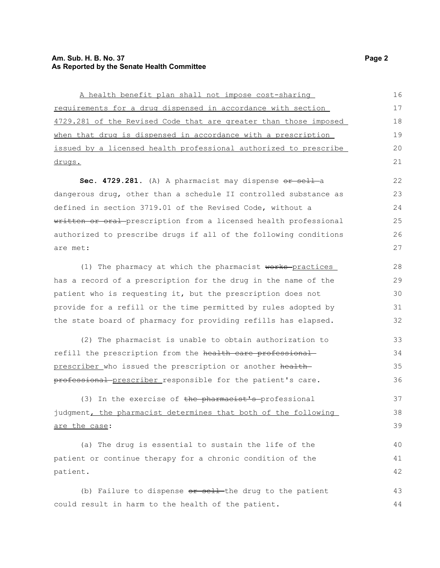#### **Am. Sub. H. B. No. 37** Page 2 **As Reported by the Senate Health Committee**

A health benefit plan shall not impose cost-sharing requirements for a drug dispensed in accordance with section 4729.281 of the Revised Code that are greater than those imposed when that drug is dispensed in accordance with a prescription issued by a licensed health professional authorized to prescribe drugs. 16 17 18 19 20 21

Sec. 4729.281. (A) A pharmacist may dispense or sell-a dangerous drug, other than a schedule II controlled substance as defined in section 3719.01 of the Revised Code, without a written or oral prescription from a licensed health professional authorized to prescribe drugs if all of the following conditions are met:

(1) The pharmacy at which the pharmacist works-practices has a record of a prescription for the drug in the name of the patient who is requesting it, but the prescription does not provide for a refill or the time permitted by rules adopted by the state board of pharmacy for providing refills has elapsed.

(2) The pharmacist is unable to obtain authorization to refill the prescription from the health care professional prescriber who issued the prescription or another healthprofessional prescriber responsible for the patient's care. 33 34 35 36

(3) In the exercise of the pharmacist's professional judgment, the pharmacist determines that both of the following are the case:

(a) The drug is essential to sustain the life of the patient or continue therapy for a chronic condition of the patient. 40 41 42

(b) Failure to dispense  $e^{r}$  sell the drug to the patient could result in harm to the health of the patient. 43 44

37 38 39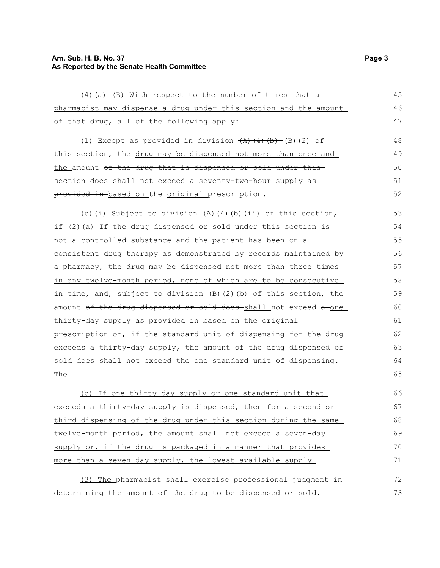## **Am. Sub. H. B. No. 37 Page 3 As Reported by the Senate Health Committee**

| (4) (a) (B) With respect to the number of times that a                        | 45 |
|-------------------------------------------------------------------------------|----|
| pharmacist may dispense a drug under this section and the amount              | 46 |
| of that drug, all of the following apply:                                     | 47 |
| $(1)$ Except as provided in division $(A)$ $(4)$ $(b)$ $(B)$ $(2)$ of         | 48 |
| this section, the drug may be dispensed not more than once and                | 49 |
| <u>the amount <del>of the drug that is dispensed or sold under this</del></u> | 50 |
| section does-shall not exceed a seventy-two-hour supply as-                   | 51 |
| provided in based on the original prescription.                               | 52 |
| $(b)$ (i) Subject to division (A) (4) (b) (ii) of this section,               | 53 |
| if (2) (a) If the drug dispensed or sold under this section is                | 54 |
| not a controlled substance and the patient has been on a                      | 55 |
| consistent drug therapy as demonstrated by records maintained by              | 56 |
| a pharmacy, the drug may be dispensed not more than three times               | 57 |
| in any twelve-month period, none of which are to be consecutive               | 58 |
| in time, and, subject to division (B)(2)(b) of this section, the              | 59 |
| amount of the drug dispensed or sold does-shall not exceed a-one              | 60 |
| thirty-day supply as provided in based on the original                        | 61 |
| prescription or, if the standard unit of dispensing for the drug              | 62 |
| exceeds a thirty-day supply, the amount of the drug dispensed or-             | 63 |
| sold does-shall not exceed the one standard unit of dispensing.               | 64 |
| <del>The -</del>                                                              | 65 |
| (b) If one thirty-day supply or one standard unit that                        | 66 |
| exceeds a thirty-day supply is dispensed, then for a second or                | 67 |
| third dispensing of the drug under this section during the same               | 68 |
| twelve-month period, the amount shall not exceed a seven-day                  | 69 |
| supply or, if the drug is packaged in a manner that provides                  | 70 |
| more than a seven-day supply, the lowest available supply.                    | 71 |
| (3) The pharmacist shall exercise professional judgment in                    | 72 |
| determining the amount-of the drug to be dispensed or sold.                   | 73 |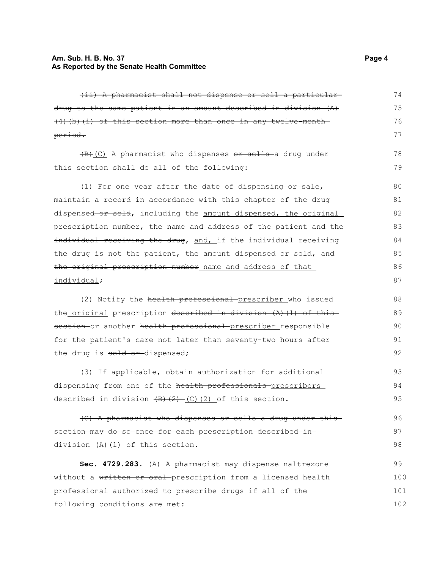#### **Am. Sub. H. B. No. 37 Page 4 As Reported by the Senate Health Committee**

| (ii) A pharmacist shall not dispense or sell a particular-                                                          | 74  |
|---------------------------------------------------------------------------------------------------------------------|-----|
| drug to the same patient in an amount described in division (A)                                                     | 75  |
| $(4)$ (b) (i) of this section more than once in any twelve-month                                                    | 76  |
| period.                                                                                                             | 77  |
| (B) (C) A pharmacist who dispenses or sells a drug under                                                            | 78  |
| this section shall do all of the following:                                                                         | 79  |
| (1) For one year after the date of dispensing-or sale,                                                              | 80  |
| maintain a record in accordance with this chapter of the drug                                                       | 81  |
| dispensed or sold, including the amount dispensed, the original                                                     | 82  |
| prescription number, the name and address of the patient-and the-                                                   | 83  |
| individual receiving the drug, and, if the individual receiving                                                     | 84  |
| the drug is not the patient, the amount dispensed or sold, and                                                      | 85  |
| the original prescription number name and address of that                                                           | 86  |
| individual;                                                                                                         | 87  |
| (2) Notify the health professional prescriber who issued                                                            | 88  |
| the original prescription described in division (A) (1) of this                                                     | 89  |
| section or another health professional prescriber responsible                                                       | 90  |
| for the patient's care not later than seventy-two hours after                                                       | 91  |
| the drug is sold or dispensed;                                                                                      | 92  |
| (3) If applicable, obtain authorization for additional                                                              | 93  |
| dispensing from one of the health professionals prescribers                                                         | 94  |
| described in division $\left(\frac{B}{B}\right) \left(\frac{C}{C}\right) \left(\frac{C}{D}\right)$ of this section. | 95  |
| (C) A pharmacist who dispenses or sells a drug under this-                                                          | 96  |
| section may do so once for each prescription described in-                                                          | 97  |
| division (A) (1) of this section.                                                                                   | 98  |
| Sec. 4729.283. (A) A pharmacist may dispense naltrexone                                                             | 99  |
| without a written or oral prescription from a licensed health                                                       | 100 |
| professional authorized to prescribe drugs if all of the                                                            | 101 |
| following conditions are met:                                                                                       | 102 |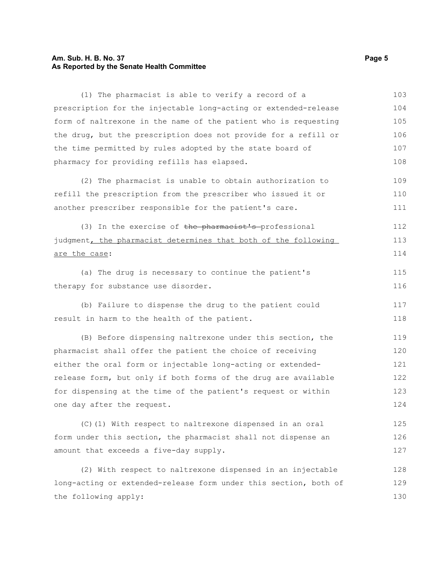## **Am. Sub. H. B. No. 37 Page 5 As Reported by the Senate Health Committee**

| prescription for the injectable long-acting or extended-release<br>form of naltrexone in the name of the patient who is requesting<br>the drug, but the prescription does not provide for a refill or<br>the time permitted by rules adopted by the state board of<br>pharmacy for providing refills has elapsed.<br>(2) The pharmacist is unable to obtain authorization to<br>refill the prescription from the prescriber who issued it or<br>another prescriber responsible for the patient's care.<br>(3) In the exercise of the pharmacist's professional<br>judgment, the pharmacist determines that both of the following<br>are the case:<br>(a) The drug is necessary to continue the patient's<br>therapy for substance use disorder.<br>(b) Failure to dispense the drug to the patient could<br>result in harm to the health of the patient.<br>(B) Before dispensing naltrexone under this section, the<br>pharmacist shall offer the patient the choice of receiving<br>either the oral form or injectable long-acting or extended-<br>release form, but only if both forms of the drug are available<br>for dispensing at the time of the patient's request or within<br>one day after the request.<br>(C)(1) With respect to naltrexone dispensed in an oral<br>form under this section, the pharmacist shall not dispense an<br>amount that exceeds a five-day supply.<br>(2) With respect to naltrexone dispensed in an injectable<br>long-acting or extended-release form under this section, both of<br>the following apply: | (1) The pharmacist is able to verify a record of a | 103 |
|--------------------------------------------------------------------------------------------------------------------------------------------------------------------------------------------------------------------------------------------------------------------------------------------------------------------------------------------------------------------------------------------------------------------------------------------------------------------------------------------------------------------------------------------------------------------------------------------------------------------------------------------------------------------------------------------------------------------------------------------------------------------------------------------------------------------------------------------------------------------------------------------------------------------------------------------------------------------------------------------------------------------------------------------------------------------------------------------------------------------------------------------------------------------------------------------------------------------------------------------------------------------------------------------------------------------------------------------------------------------------------------------------------------------------------------------------------------------------------------------------------------------------------------------------|----------------------------------------------------|-----|
|                                                                                                                                                                                                                                                                                                                                                                                                                                                                                                                                                                                                                                                                                                                                                                                                                                                                                                                                                                                                                                                                                                                                                                                                                                                                                                                                                                                                                                                                                                                                                  |                                                    | 104 |
|                                                                                                                                                                                                                                                                                                                                                                                                                                                                                                                                                                                                                                                                                                                                                                                                                                                                                                                                                                                                                                                                                                                                                                                                                                                                                                                                                                                                                                                                                                                                                  |                                                    | 105 |
|                                                                                                                                                                                                                                                                                                                                                                                                                                                                                                                                                                                                                                                                                                                                                                                                                                                                                                                                                                                                                                                                                                                                                                                                                                                                                                                                                                                                                                                                                                                                                  |                                                    | 106 |
|                                                                                                                                                                                                                                                                                                                                                                                                                                                                                                                                                                                                                                                                                                                                                                                                                                                                                                                                                                                                                                                                                                                                                                                                                                                                                                                                                                                                                                                                                                                                                  |                                                    | 107 |
|                                                                                                                                                                                                                                                                                                                                                                                                                                                                                                                                                                                                                                                                                                                                                                                                                                                                                                                                                                                                                                                                                                                                                                                                                                                                                                                                                                                                                                                                                                                                                  |                                                    | 108 |
|                                                                                                                                                                                                                                                                                                                                                                                                                                                                                                                                                                                                                                                                                                                                                                                                                                                                                                                                                                                                                                                                                                                                                                                                                                                                                                                                                                                                                                                                                                                                                  |                                                    | 109 |
|                                                                                                                                                                                                                                                                                                                                                                                                                                                                                                                                                                                                                                                                                                                                                                                                                                                                                                                                                                                                                                                                                                                                                                                                                                                                                                                                                                                                                                                                                                                                                  |                                                    | 110 |
|                                                                                                                                                                                                                                                                                                                                                                                                                                                                                                                                                                                                                                                                                                                                                                                                                                                                                                                                                                                                                                                                                                                                                                                                                                                                                                                                                                                                                                                                                                                                                  |                                                    | 111 |
|                                                                                                                                                                                                                                                                                                                                                                                                                                                                                                                                                                                                                                                                                                                                                                                                                                                                                                                                                                                                                                                                                                                                                                                                                                                                                                                                                                                                                                                                                                                                                  |                                                    | 112 |
|                                                                                                                                                                                                                                                                                                                                                                                                                                                                                                                                                                                                                                                                                                                                                                                                                                                                                                                                                                                                                                                                                                                                                                                                                                                                                                                                                                                                                                                                                                                                                  |                                                    | 113 |
|                                                                                                                                                                                                                                                                                                                                                                                                                                                                                                                                                                                                                                                                                                                                                                                                                                                                                                                                                                                                                                                                                                                                                                                                                                                                                                                                                                                                                                                                                                                                                  |                                                    | 114 |
|                                                                                                                                                                                                                                                                                                                                                                                                                                                                                                                                                                                                                                                                                                                                                                                                                                                                                                                                                                                                                                                                                                                                                                                                                                                                                                                                                                                                                                                                                                                                                  |                                                    | 115 |
|                                                                                                                                                                                                                                                                                                                                                                                                                                                                                                                                                                                                                                                                                                                                                                                                                                                                                                                                                                                                                                                                                                                                                                                                                                                                                                                                                                                                                                                                                                                                                  |                                                    | 116 |
|                                                                                                                                                                                                                                                                                                                                                                                                                                                                                                                                                                                                                                                                                                                                                                                                                                                                                                                                                                                                                                                                                                                                                                                                                                                                                                                                                                                                                                                                                                                                                  |                                                    | 117 |
|                                                                                                                                                                                                                                                                                                                                                                                                                                                                                                                                                                                                                                                                                                                                                                                                                                                                                                                                                                                                                                                                                                                                                                                                                                                                                                                                                                                                                                                                                                                                                  |                                                    | 118 |
|                                                                                                                                                                                                                                                                                                                                                                                                                                                                                                                                                                                                                                                                                                                                                                                                                                                                                                                                                                                                                                                                                                                                                                                                                                                                                                                                                                                                                                                                                                                                                  |                                                    | 119 |
|                                                                                                                                                                                                                                                                                                                                                                                                                                                                                                                                                                                                                                                                                                                                                                                                                                                                                                                                                                                                                                                                                                                                                                                                                                                                                                                                                                                                                                                                                                                                                  |                                                    | 120 |
|                                                                                                                                                                                                                                                                                                                                                                                                                                                                                                                                                                                                                                                                                                                                                                                                                                                                                                                                                                                                                                                                                                                                                                                                                                                                                                                                                                                                                                                                                                                                                  |                                                    | 121 |
|                                                                                                                                                                                                                                                                                                                                                                                                                                                                                                                                                                                                                                                                                                                                                                                                                                                                                                                                                                                                                                                                                                                                                                                                                                                                                                                                                                                                                                                                                                                                                  |                                                    | 122 |
|                                                                                                                                                                                                                                                                                                                                                                                                                                                                                                                                                                                                                                                                                                                                                                                                                                                                                                                                                                                                                                                                                                                                                                                                                                                                                                                                                                                                                                                                                                                                                  |                                                    | 123 |
|                                                                                                                                                                                                                                                                                                                                                                                                                                                                                                                                                                                                                                                                                                                                                                                                                                                                                                                                                                                                                                                                                                                                                                                                                                                                                                                                                                                                                                                                                                                                                  |                                                    | 124 |
|                                                                                                                                                                                                                                                                                                                                                                                                                                                                                                                                                                                                                                                                                                                                                                                                                                                                                                                                                                                                                                                                                                                                                                                                                                                                                                                                                                                                                                                                                                                                                  |                                                    | 125 |
|                                                                                                                                                                                                                                                                                                                                                                                                                                                                                                                                                                                                                                                                                                                                                                                                                                                                                                                                                                                                                                                                                                                                                                                                                                                                                                                                                                                                                                                                                                                                                  |                                                    | 126 |
|                                                                                                                                                                                                                                                                                                                                                                                                                                                                                                                                                                                                                                                                                                                                                                                                                                                                                                                                                                                                                                                                                                                                                                                                                                                                                                                                                                                                                                                                                                                                                  |                                                    | 127 |
|                                                                                                                                                                                                                                                                                                                                                                                                                                                                                                                                                                                                                                                                                                                                                                                                                                                                                                                                                                                                                                                                                                                                                                                                                                                                                                                                                                                                                                                                                                                                                  |                                                    | 128 |
|                                                                                                                                                                                                                                                                                                                                                                                                                                                                                                                                                                                                                                                                                                                                                                                                                                                                                                                                                                                                                                                                                                                                                                                                                                                                                                                                                                                                                                                                                                                                                  |                                                    | 129 |
|                                                                                                                                                                                                                                                                                                                                                                                                                                                                                                                                                                                                                                                                                                                                                                                                                                                                                                                                                                                                                                                                                                                                                                                                                                                                                                                                                                                                                                                                                                                                                  |                                                    | 130 |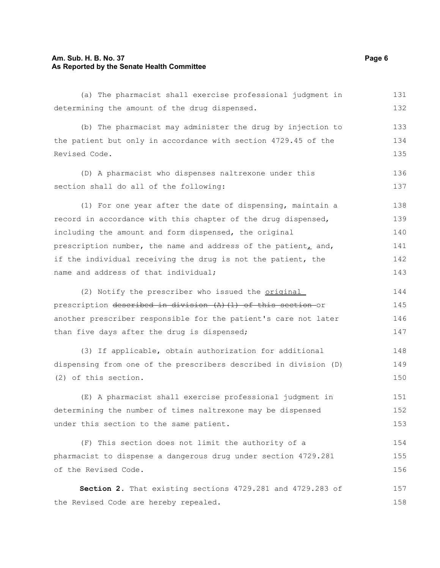#### **Am. Sub. H. B. No. 37 Page 6 As Reported by the Senate Health Committee**

(a) The pharmacist shall exercise professional judgment in determining the amount of the drug dispensed. (b) The pharmacist may administer the drug by injection to the patient but only in accordance with section 4729.45 of the Revised Code. (D) A pharmacist who dispenses naltrexone under this section shall do all of the following: (1) For one year after the date of dispensing, maintain a record in accordance with this chapter of the drug dispensed, including the amount and form dispensed, the original prescription number, the name and address of the patient, and, if the individual receiving the drug is not the patient, the name and address of that individual; (2) Notify the prescriber who issued the original prescription described in division (A)(1) of this section or another prescriber responsible for the patient's care not later than five days after the drug is dispensed; (3) If applicable, obtain authorization for additional dispensing from one of the prescribers described in division (D) (2) of this section. (E) A pharmacist shall exercise professional judgment in determining the number of times naltrexone may be dispensed under this section to the same patient. (F) This section does not limit the authority of a pharmacist to dispense a dangerous drug under section 4729.281 of the Revised Code. **Section 2.** That existing sections 4729.281 and 4729.283 of the Revised Code are hereby repealed. 131 132 133 134 135 136 137 138 139 140 141 142 143 144 145 146 147 148 149 150 151 152 153 154 155 156 157 158